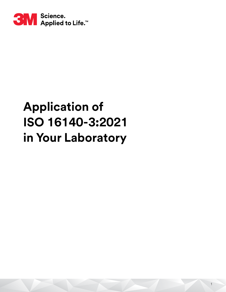

# **Application of ISO 16140-3:2021 in Your Laboratory**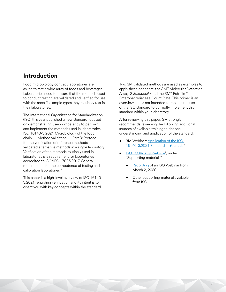# **Introduction**

Food microbiology contract laboratories are asked to test a wide array of foods and beverages. Laboratories need to ensure that the methods used to conduct testing are validated and verified for use with the specific sample types they routinely test in their laboratories.

The International Organization for Standardization (ISO) this year published a new standard focused on demonstrating user competency to perform and implement the methods used in laboratories: ISO 16140-3:2021 Microbiology of the food chain — Method validation — Part 3: Protocol for the verification of reference methods and validated alternative methods in a single laboratory.<sup>1</sup> Verification of the methods routinely used in laboratories is a requirement for laboratories accredited to ISO/IEC 17025:2017 General requirements for the competence of testing and calibration laboratories.<sup>2</sup>

This paper is a high-level overview of ISO 16140- 3:2021 regarding verification and its intent is to orient you with key concepts within the standard.

Two 3M validated methods are used as examples to apply these concepts: the 3M™ Molecular Detection Assay-2 *Salmonella* and the 3M™ Petrifilm™ Enterobacteriaceae Count Plate. This primer is an overview and is not intended to replace the use of the ISO standard to correctly implement this standard within your laboratory.

After reviewing this paper, 3M strongly recommends reviewing the following additional sources of available training to deepen understanding and application of the standard:

- 3M Webinar: Application of the ISO [16140-3:2021 Standard in Your Lab](https://www.3m.com/3M/en_US/3m-health-care-academy-us/log-in/?overrideURL=https%3A%2F%2Ffs.3m.com%2Fidp%2FstartSSO.ping%3FPartnerSpId%3Dhttps%3A%2F%2F3mhca.sumtotal.host%2FBroker%26TargetResource%3Dhttps%253A%252F%252F3mhca.sumtotal.host%252Fcore%252FpillarRedirect%253FrelyingParty%253DLM%2526url%253Dapp%25252Fmanagement%25252FLMS_CNT_LaunchCourse.aspx%25253FUserMode%25253D0%252526ActivityId%25253D6966&TARGET=https%3A%2F%2Ffs.3m.com%2Fidp%2FstartSSO.ping%3FPartnerSpId%3Dhttps%3A%2F%2F3mhca.sumtotal.host%2FBroker%26TargetResource%3Dhttps%253A%252F%252F3mhca.sumtotal.host%252Fcore%252FpillarRedirect%253FrelyingParty%253DLM%2526url%253Dapp%25252Fmanagement%25252FLMS_CNT_LaunchCourse.aspx%25253FUserMode%25253D0%252526ActivityId%25253D6966%26overrideURL%3Dhttps%253A%252F%252Ffs.3m.com%252Fidp%252FstartSSO.ping%253FPartnerSpId%253Dhttps%253A%252F%252F3mhca.sumtotal.host%252FBroker%2526TargetResource%253Dhttps%25253A%25252F%25252F3mhca.sumtotal.host%25252Fcore%25252FpillarRedirect%25253FrelyingParty%25253DLM%252526url%25253Dapp%2525252Fmanagement%2525252FLMS_CNT_LaunchCourse.aspx%2525253FUserMode%2525253D0%25252526ActivityId%2525253D6966)<sup>3</sup>
- ISO TC34/SC9 Website<sup>4</sup>, under "Supporting materials":
	- [Recording](https://vimeo.com/522329760) of an ISO Webinar from March 2, 2020
	- Other supporting material available from ISO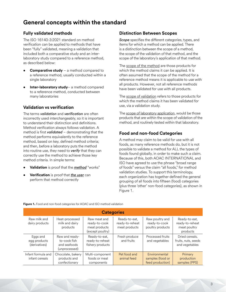# **General concepts within the standard**

# **Fully validated methods**

The ISO 16140-3:2021 standard on method verification can be applied to methods that have been "fully" validated, meaning a validation that included both a comparative study and an interlaboratory study compared to a reference method, as described below:

- **Comparative study** a method compared to a reference method, usually conducted within a single laboratory
- **Inter-laboratory study** a method compared to a reference method, conducted between many laboratories

# **Validation vs verification**

The terms *validation* and *verification* are often incorrectly used interchangeably, so it is important to understand their distinction and definitions. Method verification always follows validation. A method is first *validated* – demonstrating that the method performs equivalently to the reference method, based on key, defined method criteria; and then, before a laboratory puts the method into routine use, they need to *verify* that they can correctly use the method to achieve those key method criteria. In simple terms:

- **Validation** is proof that the *method* "works"
- **Verification** is proof that *the user* can perform that method correctly

# **Distinction Between Scopes**

*Scope* specifies the different categories, types, and items for which a method can be applied. There is a distinction between the scope of a method, the scope of the validation of that method, and the scope of the laboratory's application of that method.

The scope of the method are those products for which the method claims it can be applied. It is often assumed that the scope of the method for a reference method means it is applicable to use with all products. However, not all reference methods have been validated for use with all products.

The scope of validation refers to those products for which the method claims it has been validated for use, via a validation study.

The scope of laboratory application, would be those products that are within the scope of validation of the method, and routinely tested within that laboratory.

# **Food and non-food Categories**

A method may claim to be valid for use with all foods, as many reference methods do, but it is not possible to validate a method for ALL the types of foods found globally, in order to make such a claim. Because of this, both AOAC INTERNATIONAL and ISO have agreed to use the phrase "broad range of foods" versus the claim "all foods," for method validation studies. To support this terminology, each organization has together defined the general grouping of all foods into fifteen (food) categories (plus three 'other' non-food categories), as shown in Figure 1.

| <b>Categories</b>                         |                                                                 |                                                                    |                                                   |                                                       |                                                              |  |
|-------------------------------------------|-----------------------------------------------------------------|--------------------------------------------------------------------|---------------------------------------------------|-------------------------------------------------------|--------------------------------------------------------------|--|
| Raw milk and<br>dairy products            | Heat-processed<br>milk and dairy<br>products                    | Raw meat and<br>ready-to-cook<br>meat products<br>(except poultry) | Ready-to-eat,<br>ready-to-reheat<br>meat products | Raw poultry and<br>ready-to-cook<br>poultry products  | Ready-to-eat,<br>ready-to-reheat<br>meat poultry<br>products |  |
| Eggs and<br>egg products<br>(derivatives) | Raw and ready-<br>to-cook fish<br>and seafoods<br>(unprocessed) | Ready-to-eat,<br>ready-to-reheat<br>fishery products               | Fresh produce<br>and fruits                       | Processed fruits<br>and vegetables                    | Dried cereals.<br>fruits, nuts, seeds<br>and vegetables      |  |
| Infant formula and<br>infant cereals      | Chocolate, bakery<br>products and<br>confectionary              | Multi-component<br>foods or meal<br>components                     | Pet food and<br>animal feed                       | Environmental<br>samples (food or<br>feed production) | Primary<br>production<br>samples (PPS)                       |  |

#### **Figure 1.** Food and non-food categories for AOAC and ISO method validation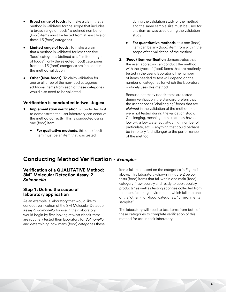- **Broad range of foods:** To make a claim that a method is validated for the scope that includes "a broad range of foods," a defined number of (food) items must be tested from at least five of these 15 (food) categories.
- **Limited range of foods:** To make a claim that a method is validated for less than five (food) categories (defined as a "limited range of foods"), only the selected (food) categories from the 15 (food) categories are included in the method validation.
- **Other (Non-foods):** To claim validation for one or all three of the non-food categories, additional items from each of these categories would also need to be validated.

## **Verification is conducted in two stages:**

- **1. Implementation verification** is conducted first to demonstrate the user laboratory can conduct the method correctly. This is conducted using one (food) item.
	- **For qualitative methods**, this one (food) item must be an item that was tested

during the validation study of the method and the same sample size must be used for this item as was used during the validation study

- **For quantitative methods**, this one (food) item can be any (food) item from within the scope of the validation of the method
- **2.** (**Food) item verification** demonstrates that the user laboratory can conduct the method with the types of (food) items that are routinely tested in the user's laboratory. The number of items needed to test will depend on the number of categories for which the laboratory routinely uses this method.

 Because not many (food) items are tested during verification, the standard prefers that the user chooses "challenging" foods that are *claimed* in the validation of the method but were not tested during the validation study. Challenging, meaning items that may have a low pH, a low water activity, a high number of particulate, etc. – anything that could perhaps be inhibitory (a challenge) to the performance of the method.

# **Conducting Method Verification -** *Examples*

#### **Verification of a QUALITATIVE Method: 3M™ Molecular Detection Assay-2**  *Salmonella*

## **Step 1: Define the scope of laboratory application**

As an example, a laboratory that would like to conduct verification of the 3M Molecular Detection Assay-2 *Salmonella* for use in their laboratory would begin by first looking at what (food) items are routinely tested their laboratory for *Salmonella* and determining how many (food) categories these

items fall into, based on the categories in Figure 1 above. This laboratory (shown in Figure 2 below) tests (food) items that fall within one main (food) category: "raw poultry and ready to cook poultry products" as well as testing sponges collected from the manufacturing environment, which fall into one of the 'other' (non-food) categories: "Environmental samples".

The laboratory will need to test items from both of these categories to complete verification of this method for use in their laboratory.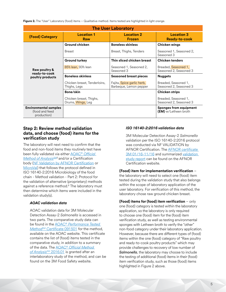**Figure 2.** The "User" Laboratory (food) items – Qualitative method. Items tested are highlighted in light orange.

| <b>The User Laboratory</b>                                    |                                              |                                                      |                                                              |  |  |
|---------------------------------------------------------------|----------------------------------------------|------------------------------------------------------|--------------------------------------------------------------|--|--|
| (Food) Category                                               | <b>Location 1</b><br><b>Raw</b>              | <b>Location 2</b><br><b>Frozen</b>                   | <b>Location 3</b><br><b>Ready-to-cook</b>                    |  |  |
|                                                               | <b>Ground chicken</b>                        | <b>Boneless skinless</b>                             | <b>Chicken wings</b>                                         |  |  |
|                                                               | <b>Breast</b>                                | Breast, Thighs, Tenders                              | Seasoned 1, Seasoned 2,<br>Seasoned 3                        |  |  |
|                                                               | <b>Ground turkey</b>                         | Thin sliced chicken breast                           | <b>Chicken tenders</b>                                       |  |  |
| Raw poultry &<br>ready-to-cook                                | 85% lean, 93% lean                           | Seasoned 1, Seasoned 2,<br>Seasoned 3                | Breaded, Seasoned 1,<br>Seasoned 2, Seasoned 3               |  |  |
| poultry products                                              | <b>Boneless skinless</b>                     | <b>Seasoned breast pieces</b>                        | <b>Nuggets</b>                                               |  |  |
|                                                               | Chicken breast, Tenderloins,<br>Thighs, Legs | Fajita, Spice garlic herb,<br>Barbeque, Lemon pepper | Breaded, Seasoned 1,<br>Seasoned 2, Seasoned 3               |  |  |
|                                                               | Bone/skin                                    |                                                      | <b>Chicken strips</b>                                        |  |  |
|                                                               | Chicken breast, Thighs,<br>Drums, Wings, Leg |                                                      | Breaded, Seasoned 1,<br>Seasoned 2, Seasoned 3               |  |  |
| <b>Environmental samples</b><br>(food and feed<br>production) |                                              |                                                      | <b>Sponges from equipment</b><br><b>(EM)</b> w/Letheen broth |  |  |

#### **Step 2: Review method validation data, and choose (food) items for the verification study**

The laboratory will next need to confirm that the food and non-food items they routinely test have been fully validated via either AOAC® *[Official](https://members.aoac.org/AOAC_Docs/RI/19PTM/19C_091501_3MMDASAL.v4.pdf)*  **Method of Analysis**<sup>SM5</sup> and/or a Certification body [\(NF Validation by AFNOR Certification](https://nf-validation.afnor.org/en/food-industry/) or [MicroVal](https://microval.org/)) that follows the protocol defined in ISO 16140-2:2016 Microbiology of the food chain - Method validation - Part 2: Protocol for the validation of alternative (proprietary) methods against a reference method.<sup>6</sup> The laboratory must then determine which items were included in the validation study(s).

#### *AOAC validation data*

 AOAC validation data for 3M Molecular Detection Assay-2 *Salmonella* is accessed in two parts. The comparative study data can be found in the AOAC® *[Performance Tested](https://members.aoac.org/AOAC/PTM_Validated_Methods.aspx)  Method<sup>SM</sup>* Certificate 091501 for the method, available on the AOAC website. This certificate contains the list of (food) items tested in the comparative study, in addition to a summary of the data. The AOAC® *[Official Method](https://multimedia.3m.com/mws/media/1759936O/aoac-oma-2016-01-salmonella-spp-in-foods-and-surfaces.pdf)*  of Analysis<sup>SM</sup> 2016.01 is granted after an interlaboratory study of the method, and can be found on the 3M Food Safety website.

#### *ISO 16140-2:2016 validation data*

 3M Molecular Detection Assay-2 *Salmonella* validation per the ISO 16140-2:2016 protocol was conducted via NF VALIDATION by AFNOR Certification. The [AFNOR certificate](https://nf-validation.afnor.org/en/wp-content/uploads/sites/2/2014/03/3M-01-11-11-12_en.pdf)  [3M 01/16-11/16](https://nf-validation.afnor.org/en/wp-content/uploads/sites/2/2014/03/3M-01-11-11-12_en.pdf) and summarized [validation](https://nf-validation.afnor.org/en/wp-content/uploads/sites/2/2014/03/Synt-3M-01-11-11-12_en.pdf)  [study report](https://nf-validation.afnor.org/en/wp-content/uploads/sites/2/2014/03/Synt-3M-01-11-11-12_en.pdf) can be found on the AFNOR Certification website.

## **(Food) item for implementation verification** –

the laboratory will need to select one (food) item tested during the validation study that also belongs within the scope of laboratory application of the user laboratory. For verification of this method, the laboratory chose raw ground chicken breast.

#### **(Food) items for (food) item verification** – only one (food) category is tested within the laboratory application, so the laboratory is only required to choose one (food) item for the (food) item verification study, as well as testing environmental sponges with Letheen broth to verify the "other" non-food category under their laboratory application. However, because there are different types of (food) items within the one (food) category of "Raw poultry and ready-to-cook poultry products" which may provide challenges to recovery of low number of *Salmonella*, the laboratory may choose to include the testing of additional (food) items in their (food) item verification study, such as those (food) items highlighted in Figure 2 above.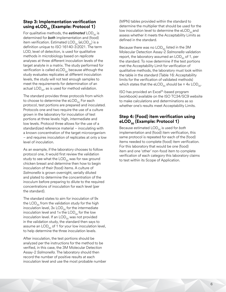## **Step 3: Implementation verification**  using eLOD<sub>50</sub> (Example: Protocol 1)

For qualitative methods, the *estimated* LOD<sub>50</sub> is determined for *both* implementation and (food) item verification. Estimated  $\text{LOD}_{50}$  (eLOD<sub>50</sub>) is a definition unique to ISO 16140-3:2021. The term LOD, level of detection, is used for qualitative methods in microbiology based on *replicate*  analyses at three different inoculation levels of the target analyte in a matrix. The study performed for verification is called eLOD $_{50}$  because although the study evaluates replicates at different inoculation levels, the study will not test enough samples to meet the requirements for determination of an actual  $\mathsf{LOD}_{50}$ , as is used for method validation.

The standard provides three protocols from which to choose to determine the  $e$ LOD $_{50}$  For each protocol, test portions are prepared and inoculated. Protocols one and two require the use of a culture grown in the laboratory for inoculation of test portions at three levels: high, intermediate and low levels. Protocol three allows for the use of a standardized reference material – inoculating with a known concentration of the target microorganism – and requires inoculation of replicates at only a low level of inoculation.

As an example, if the laboratory chooses to follow protocol one, it would first review the validation study to see what the  $\text{LOD}_{50}$  was for raw ground chicken breast and determine then how to begin inoculation of their (food) items. A culture of *Salmonella* is grown overnight, serially diluted and plated to determine the concentration of the inoculum before preparing to dilute to the required concentrations of inoculation for each level (per the standard).

The standard states to aim for inoculation of 9x the  $\mathsf{LOD}_{50}$  from the validation study for the high inoculation level,  $3x$  LOD<sub>50</sub> for the intermediate inoculation level and 1x the  $\text{LOD}_{50}$  for the low inoculation level. If an  $\text{LOD}_{50}$  was not provided in the validation study, the standard then says to assume an  $\text{LOD}_{50}$  of 1 for your low inoculation level, to help determine the three inoculation levels.

After inoculation, the test portions should be analyzed per the instructions for the method to be verified, in this case, the 3M Molecular Detection Assay-2 *Salmonella*. The laboratory should then record the number of positive results at each inoculation level and use the most probable number (MPN) tables provided within the standard to determine the multiplier that should be used for the low inoculation level to determine the  $eLOD<sub>50</sub>$  and assess whether it meets the Acceptability Limits as defined in the standard.

Because there was no  $\mathsf{LOD}_{50}$  listed in the 3M Molecular Detection Assay-2 *Salmonella* validation report, the laboratory assumed an  $\text{LOD}_{50}$  of 1, per the standard. To now determine if the test portions met the Acceptability Limit for verification of qualitative methods, the laboratory must look within the table in the standard (Table 16: Acceptability limits for the verification of validated methods) which states that the eLOD<sub>50</sub> should be  $\leq 4x$  LOD<sub>50</sub>.

ISO has provided an Excel®-based program (workbook) available on the ISO TC34/SC9 website to make calculations and determinations as so whether one's results meet Acceptability Limits.

# **Step 4: (Food) item verification using eLOD<sub>50</sub>** (Example: Protocol 1)

Because estimated LOD<sub>50</sub> is used for *both* implementation and (food) item verification, this same protocol is repeated for each of the (food) items needed to complete (food) item verification. For this laboratory that would be one (food) item and one 'other' non-food item to complete verification of each category this laboratory claims to test within its Scope of Application.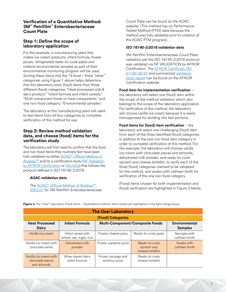#### **Verification of a Quantitative Method: 3M™ Petrifilm™ Enterobacteriaceae Count Plate**

# **Step 1: Define the scope of laboratory application**

For this example, a manufacturing plant that makes ice cream products, infant formula, frozen pizzas, refrigerated ready-to-cook pasta and collects environmental samples as part of their environmental monitoring program will be used. Sorting these items into the 15 food + three "other" categories using Figure 1 above helps determine that this laboratory tests (food) items from three different (food) categories: "Heat processed milk & dairy product," "Infant formula and infant cereals," "Multi component foods or meal components," and one non-food category, "Environmental samples."

The laboratory at this manufacturing plant will need to test items from all four categories to complete verification of this method for use.

# **Step 2: Review method validation data, and choose (food) items for the verification study**

The laboratory will first need to confirm that the food and non-food items they routinely test have been fully validated via either AOAC® *[Official Method of](http://www.eoma.aoac.org/validation_program.asp)*  [Analysis](http://www.eoma.aoac.org/validation_program.asp)<sup>SM</sup> and/or a certification body (NF Validation [by AFNOR Certification](https://nf-validation.afnor.org/en/food-industry/) or [MicroVal](https://microval.org/)) that follows the protocol defined in ISO 16140-2:2016.

#### *AOAC validation data*

The AOAC® *[Official Method of AnalysisSM](https://multimedia.3m.com/mws/media/1759929O/aoac-oma-2003-01-enumeration-of-enterobaceriaceae-in-foods.pdf) [2003.01](https://multimedia.3m.com/mws/media/1759929O/aoac-oma-2003-01-enumeration-of-enterobaceriaceae-in-foods.pdf)* for 3M Petrifilm Enterobacteriaceae Count Plate can be found on the AOAC website. (This method has no Performance Tested Method (PTM) data because the method was fully validated prior to creation of the AOAC PTM program).

#### *ISO 16140-2:2016 validation data*

 3M Petrifilm Enterobacteriaceae Count Plate validation per the ISO 16140-2:2016 protocol was validated via NF VALIDATION by AFNOR Certification. The [AFNOR Certificate 3M](https://nf-validation.afnor.org/wp-content/uploads/sites/2/2014/03/3M-01-06-09-97_en.pdf)  [01/06-09/97](https://nf-validation.afnor.org/wp-content/uploads/sites/2/2014/03/3M-01-06-09-97_en.pdf) and summarized [validation](https://nf-validation.afnor.org/en/wp-content/uploads/sites/2/2014/03/Synt-3M-01-11-11-12_en.pdf)  [study report](https://nf-validation.afnor.org/en/wp-content/uploads/sites/2/2014/03/Synt-3M-01-11-11-12_en.pdf) can be found on the AFNOR Certification website.

**Food item for implementation verification** – the laboratory will select one (food) item within the scope of the method validation which also belongs to the scope of the laboratory application. For verification of this method, the laboratory will choose vanilla ice cream because it is easily homogenized for dividing into test portions.

**Food items for (food) item verification** – the laboratory will select one challenging (food) item from each of the three identified (food) categories, in addition to the one non-food item category in order to complete verification of this method. For this example, the laboratory will choose vanilla ice cream with chocolate pieces and almonds, dehydrated milk powder, and ready-to-cook spinach and cheese tortellini, to verify each of the three (food) categories claimed to be validated for the method, and swabs with Letheen broth for verification of the one non-food category.

(Food) items chosen for both implementation and (food) verification are highlighted in Figure 3 below.

| <b>The User Laboratory</b>                                |                                               |                                        |                                                   |                               |  |  |  |
|-----------------------------------------------------------|-----------------------------------------------|----------------------------------------|---------------------------------------------------|-------------------------------|--|--|--|
| <b>(Food) Categories</b>                                  |                                               |                                        |                                                   |                               |  |  |  |
| <b>Heat Processed</b><br><b>Dairy</b>                     | <b>Infant Formula</b>                         | <b>Multi-Component/Composite Foods</b> | Environmental<br><b>Samples</b>                   |                               |  |  |  |
| Vanilla ice cream                                         | Infant cereal with<br>wheat, oat, sugar, rice | Frozen cheese pizza                    | Ready-to-cook pasta                               | Sponges with<br>Letheen broth |  |  |  |
| Vanilla ice cream with<br>chocolate swirls                | Dehydrated milk<br>powder                     | Frozen supreme pizza                   | Ready-to-cook<br>spinach and<br>cheese tortellini | Swabs with<br>Letheen broth   |  |  |  |
| Vanilla ice cream with<br>chocolate pieces<br>and almonds | Whey-based dairy<br>infant formula            | Frozen sausage and<br>anchovy pizza    | Ready-to-cook<br>cheese tortellini                |                               |  |  |  |

Figure 3. The "User" Laboratory (food) items - Quantitative method. Items tested are highlighted in the light orange boxes.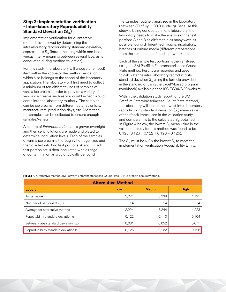#### **Step 3: Implementation verification - Inter-laboratory Reproducibility Standard Deviation (S<sub>IR</sub>)**

Implementation verification for quantitative methods is achieved by determining the intralaboratory reproducibility standard deviation, expressed as  $S_{\text{IP}}$  (Intra - meaning within one lab, versus Inter – meaning between several labs, as is conducted during method validation).

For this study, the laboratory will choose one (food) item within the scope of the method validation which also belongs to the scope of the laboratory application. The laboratory will first need to collect a minimum of ten different kinds of samples of vanilla ice cream in order to provide a variety of vanilla ice creams such as you would expect would come into the laboratory routinely. The samples can be ice creams from different batches or lots, manufacturers, production days, etc. More than ten samples can be collected to ensure enough samples/variety.

A culture of *Enterobacteriaceae* is grown overnight and then serial dilutions are made and plated to determine inoculation levels. Each of the samples of vanilla ice cream is thoroughly homogenized and then divided into two test portions: A and B. Each test portion set is then inoculated with a range of contamination as would typically be found in

the samples routinely analyzed in the laboratory (between 30 cfu/g  $-$  30,000 cfu/g). Because this study is being conducted in one laboratory, the laboratory needs to make the analysis of the test portions A and B as different in as many ways as possible: using different technicians, incubators, batches of culture media (different preparations from the same batch of media powder), etc.

Each of the sample test portions is then analysed using the 3M Petrifilm Enterobacteriaceae Count Plate method. Results are recorded and used to calculate the intra-laboratory reproducibility standard deviation  $S_{IR}$  using the formula provided in the standard or using the Excel**®**-based program (workbook) available on the ISO TC34/SC9 website.

Within the validation study report for the 3M Petrifilm Enterobacteriaceae Count Plate method, the laboratory will locate the lowest Inter-laboratory reproducibility standard deviation  $(S_p)$  mean value of the (food) items used in the validation study and compare this to the calculated  $S_{IR}$  obtained. In Figure 4 below, the lowest  $S_R$  mean value in the validation study for this method was found to be  $0.125(0.126 + 0.122 + 0.126 = 0.125)$ .

The S<sub>IR</sub> must be ≤ 2 x the lowest S<sub>R</sub> to meet the implementation verification Acceptability Limits.

| <b>Alternative Method</b>               |       |               |             |  |  |  |
|-----------------------------------------|-------|---------------|-------------|--|--|--|
| <b>Levels</b>                           | Low   | <b>Medium</b> | <b>High</b> |  |  |  |
| Target value                            | 2,274 | 3,238         | 4,191       |  |  |  |
| Number of participants (K)              | 14    | 14            | 14          |  |  |  |
| Average for alternative method          | 2,224 | 3,244         | 4,223       |  |  |  |
| Repeatability standard deviation (sr)   | 0,122 | 0,110         | 0,104       |  |  |  |
| Between-labs standard deviation (sL)    | 0,031 | 0,052         | 0,071       |  |  |  |
| Reproducibility standard deviation (sR) | 0,126 | 0,122         | 0,126       |  |  |  |

**Figure 4.** Alternative method 3M Petrifilm Enterobacteriaceae Count Plate AFNOR report accuracy profile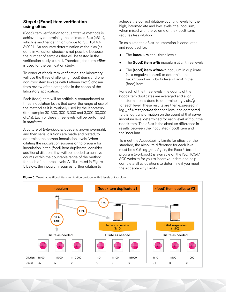# **Step 4: (Food) item verification using eBias**

(Food) item verification for quantitative methods is achieved by determining the estimated Bias (eBias), which is another definition unique to ISO 16140- 3:2021. An accurate determination of the bias (as done in validation studies) is not possible because the number of samples that will be tested in the verification study is small. Therefore, the term *eBias* is used for the verification study.

To conduct (food) item verification, the laboratory will use the three challenging (food) items and one non-food item (swabs with Letheen broth) chosen from review of the categories in the scope of the laboratory application.

Each (food) item will be artificially contaminated at three inoculation levels that cover the range of use of the method as it is routinely used by the laboratory (for example: 30-300, 300-3,000 and 3,000-30,000 cfu/g). Each of these three levels will be performed in *duplicate*.

A culture of *Enterobacteriaceae* is grown overnight, and then serial dilutions are made and plated, to determine the correct inoculation levels. When diluting the inoculation suspension to prepare for inoculation in the (food) item duplicates, consider additional dilutions that will be needed to achieve counts within the countable range of the method for each of the three levels. As illustrated in Figure 5 below, the inoculum requires further dilution to

achieve the correct dilution/counting levels for the high, intermediate and low levels; the inoculum, when mixed with the volume of the (food) item, requires less dilution.

To calculate the eBias, enumeration is conducted and recorded for:

- The **inoculum** at all three levels
- The **(food) item** *with* inoculum at all three levels
- The **(food) item** *without* inoculum in duplicate (as a negative control) to determine the background microbiota level (if any) in the (food) item.

For each of the three levels, the counts of the (food) item duplicates are averaged and a  $log_{10}$ transformation is done to determine  $log_{10}$  cfu/g for each level. These results are then expressed in log<sub>10</sub> cfu/*test portion* for each level and compared to the log transformation on the count of that *same* inoculum level determined for each level *without* the (food) item. The eBias is the absolute difference in results between the inoculated (food) item and the inoculum.

To meet the Acceptability Limits for eBias per the standard, the absolute difference for each level must be  $\leq 0.5 \log_{10}/\text{ml}$ . Again, the Excel®-based program (workbook) is available on the ISO TC34/ SC9 website for you to insert your data and help complete all calculations to determine if you meet the Acceptability Limits.